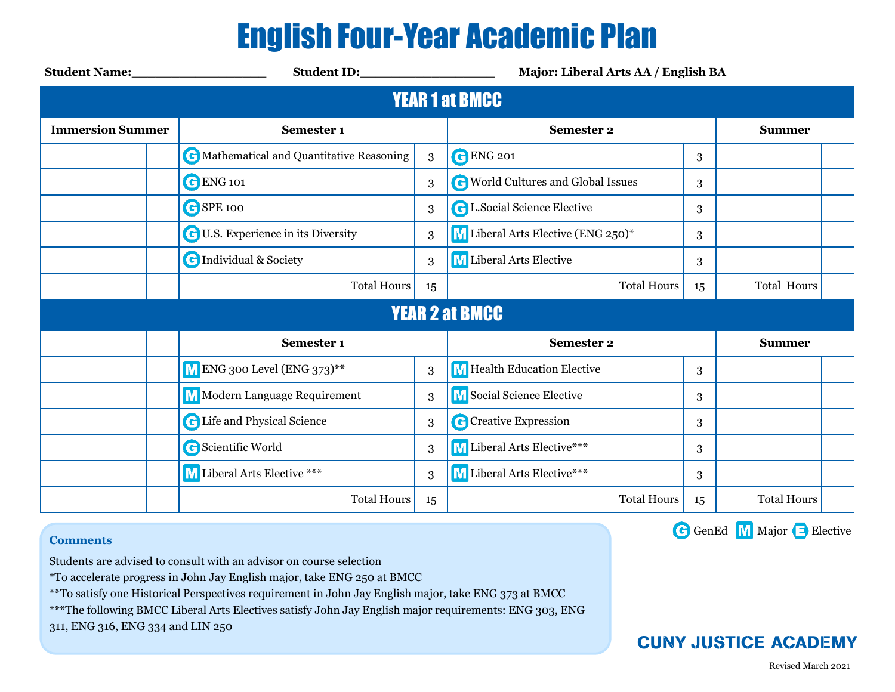## English Four-Year Academic Plan

| <b>Student Name:</b> Student Name: | Student ID: North Student ID:             |    | Major: Liberal Arts AA / English BA       |    |                    |  |  |  |  |  |
|------------------------------------|-------------------------------------------|----|-------------------------------------------|----|--------------------|--|--|--|--|--|
| <b>YEAR 1 at BMCC</b>              |                                           |    |                                           |    |                    |  |  |  |  |  |
| <b>Immersion Summer</b>            | Semester 1                                |    | <b>Semester 2</b>                         |    | <b>Summer</b>      |  |  |  |  |  |
|                                    | C Mathematical and Quantitative Reasoning | 3  | <b>C</b> ENG 201                          | 3  |                    |  |  |  |  |  |
|                                    | <b>C</b> ENG 101                          | 3  | <b>C</b> World Cultures and Global Issues | 3  |                    |  |  |  |  |  |
|                                    | GSPE 100                                  | 3  | <b>C</b> L.Social Science Elective        | 3  |                    |  |  |  |  |  |
|                                    | <b>C</b> U.S. Experience in its Diversity | 3  | M Liberal Arts Elective (ENG 250)*        | 3  |                    |  |  |  |  |  |
|                                    | <b>C</b> Individual & Society             | 3  | M Liberal Arts Elective                   | 3  |                    |  |  |  |  |  |
|                                    | <b>Total Hours</b>                        | 15 | <b>Total Hours</b>                        | 15 | Total Hours        |  |  |  |  |  |
| <b>YEAR 2 at BMCC</b>              |                                           |    |                                           |    |                    |  |  |  |  |  |
|                                    | Semester 1                                |    | <b>Semester 2</b>                         |    | <b>Summer</b>      |  |  |  |  |  |
|                                    | M ENG 300 Level (ENG 373)**               | 3  | M Health Education Elective               | 3  |                    |  |  |  |  |  |
|                                    | <b>M</b> Modern Language Requirement      | 3  | M Social Science Elective                 | 3  |                    |  |  |  |  |  |
|                                    | <b>G</b> Life and Physical Science        | 3  | C Creative Expression                     | 3  |                    |  |  |  |  |  |
|                                    | <b>G</b> Scientific World                 | 3  | M Liberal Arts Elective***                | 3  |                    |  |  |  |  |  |
|                                    | <b>M</b> Liberal Arts Elective ***        | 3  | M Liberal Arts Elective***                | 3  |                    |  |  |  |  |  |
|                                    | <b>Total Hours</b>                        | 15 | <b>Total Hours</b>                        | 15 | <b>Total Hours</b> |  |  |  |  |  |

## **Comments**

Students are advised to consult with an advisor on course selection

\*To accelerate progress in John Jay English major, take ENG 250 at BMCC

\*\*To satisfy one Historical Perspectives requirement in John Jay English major, take ENG 373 at BMCC

\*\*\*The following BMCC Liberal Arts Electives satisfy John Jay English major requirements: ENG 303, ENG

311, ENG 316, ENG 334 and LIN 250

G GenEd M Major Elective



Revised March 2021